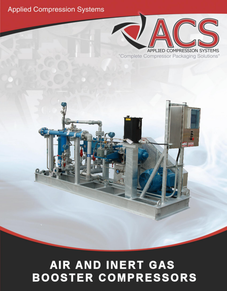## **Applied Compression Systems**



"Complete Compressor Packaging Solutions"



# AIR AND INERT GAS **BOOSTER COMPRESSORS**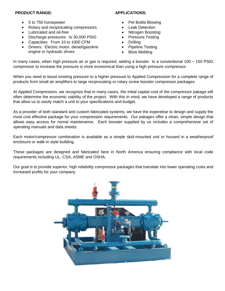#### **PRODUCT RANGE:**

- 5 to 750 horsepower
- Rotary and reciprocating compressors
- Lubricated and oil-free
- Discharge pressures: to 30,000 PSIG
- Capacities: From 10 to 1000 CFM
- Drivers: Electric motor, diesel/gasoline engine or hydraulic drives

#### **APPLICATIONS:**

- Pet Bottle Blowing
- **Leak Detection**
- Nitrogen Boosting
- Pressure Testing
- **Drilling**
- Pipeline Testing
- **Blow Molding**

In many cases, when high pressure air or gas is required, adding a booster to a conventional 100 – 150 PSIG compressor to increase the pressure is more economical than using a high pressure compressor.

When you need to boost existing pressure to a higher pressure to Applied Compression for a complete range of products from small air amplifiers to large reciprocating or rotary screw booster compressor packages.

At Applied Compression, we recognize that in many cases, the initial capital cost of the compressor pakage will often determine the economic viability of the project. With this in mind, we have developed a range of products that allow us to easily match a unit to your specifications and budget.

As a provider of both standard and custom fabricated systems, we have the experetise to design and supply the most cost effective package for your compression requirements. Our pakages offer a clean, simple design that allows easy access for nomal maintenance. Each booster supplied by us includes a comprehensive set of operating manuals and data sheets.

Each motor/compressor combination is available as a simple skid-mounted unit or housed in a weatherproof enclosure or walk-in style building.

These packages are designed and fabricated here in North America ensuring compliance with local code requirements including UL, CSA, ASME and OSHA.

Our goal is to provide superior, high reliability compressor packages that translate into lower operating costs and increased profits for your company.

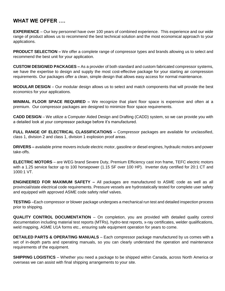### **WHAT WE OFFER ….**

**EXPERIENCE** – Our key personnel have over 100 years of combined experience. This experience and our wide range of product allows us to recommend the best technical solution and the most economical approach to your applications.

**PRODUCT SELECTION –** We offer a complete range of compressor types and brands allowing us to select and recommend the best unit for your application.

**CUSTOM DESIGNED PACKAGES –** As a provider of both standard and custom fabricated compressor systems, we have the expertise to design and supply the most cost-effective package for your starting air compression requirements. Our packages offer a clean, simple design that allows easy access for normal maintenance.

**MODULAR DESIGN** – Our modular design allows us to select and match components that will provide the best economics for your applications.

**MINIMAL FLOOR SPACE REQUIRED –** We recognize that plant floor space is expensive and often at a premium. Our compressor packages are designed to minimize floor space requirements.

**CADD DESIGN** – We utilize a Computer Aided Design and Drafting (CADD) system, so we can provide you with a detailed look at your compressor package before it's manufactured.

**FULL RANGE OF ELECTRICAL CLASSIFICATIONS –** Compressor packages are available for unclassified, class 1, division 2 and class 1, division 1 explosion proof areas.

**DRIVERS –** available prime movers include electric motor, gasoline or diesel engines, hydraulic motors and power take-offs.

**ELECTRIC MOTORS** – are WEG brand Severe Duty, Premium Efficiency cast iron frame, TEFC electric motors with a 1.25 service factor up to 100 horsepower (1.15 SF over 100 HP). Inverter duty certified for 20:1 CT and 1000:1 VT.

**ENGINEERED FOR MAXIMUM SAFETY –** All packages are manufactured to ASME code as well as all provincial/state electrical code requirements. Pressure vessels are hydrostatically tested for complete user safety and equipped with approved ASME code safety relief valves.

**TESTING** –Each compressor or blower package undergoes a mechanical run test and detailed inspection process prior to shipping.

**QUALITY CONTROL DOCUMENTATION** – On completion, you are provided with detailed quality control documentation including material test reports (MTRs), hydro-test reports, x-ray certificates, welder qualifications, weld mapping, ASME U1A forms etc., ensuring safe equipment operation for years to come.

**DETAILED PARTS & OPERATING MANUALS** – Each compressor package manufactured by us comes with a set of in-depth parts and operating manuals, so you can clearly understand the operation and maintenance requirements of the equipment.

**SHIPPING LOGISTICS** – Whether you need a package to be shipped within Canada, across North America or overseas we can assist with final shipping arrangements to your site.